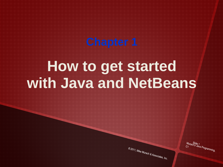# **How to get started with Java and NetBeans**

© 2011, Mike Murach & Associates, Inc.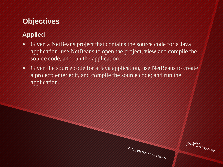# **Objectives**

#### **Applied**

- Given a NetBeans project that contains the source code for a Java application, use NetBeans to open the project, view and compile the source code, and run the application.
- Given the source code for a Java application, use NetBeans to create a project; enter edit, and compile the source code; and run the application.

© 2011, Mike Murach & Associates, Inc.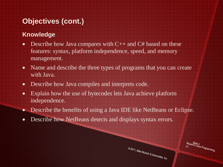# **Objectives (cont.)**

#### **Knowledge**

- Describe how Java compares with  $C++$  and  $C#$  based on these features: syntax, platform independence, speed, and memory management.
- Name and describe the three types of programs that you can create with Java.
- Describe how Java compiles and interprets code.
- Explain how the use of bytecodes lets Java achieve platform independence.
- Describe the benefits of using a Java IDE like NetBeans or Eclipse.
- Describe how NetBeans detects and displays syntax errors.

© 2011, Mike Murach & Associates, Inc.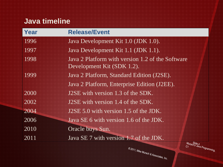## **Java timeline**

| Year | <b>Release/Event</b>                                                           |
|------|--------------------------------------------------------------------------------|
| 1996 | Java Development Kit 1.0 (JDK 1.0).                                            |
| 1997 | Java Development Kit 1.1 (JDK 1.1).                                            |
| 1998 | Java 2 Platform with version 1.2 of the Software<br>Development Kit (SDK 1.2). |
| 1999 | Java 2 Platform, Standard Edition (J2SE).                                      |
|      | Java 2 Platform, Enterprise Edition (J2EE).                                    |
| 2000 | <b>J2SE</b> with version 1.3 of the SDK.                                       |
| 2002 | J2SE with version 1.4 of the SDK.                                              |
| 2004 | J2SE 5.0 with version 1.5 of the JDK.                                          |
| 2006 | Java SE 6 with version 1.6 of the JDK.                                         |
| 2010 | Oracle buys Sun.                                                               |
| 2011 | Java SE 7 with version 1.7 of the JDK.                                         |
|      | Murach's Java Programming,<br>O 2011 Mike Museum                               |

© 2011, Mike Murach & Associates, Inc.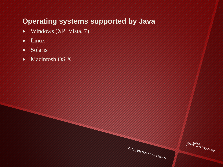#### **Operating systems supported by Java**

- Windows (XP, Vista, 7)
- Linux
- Solaris
- Macintosh OS X

© 2011, Mike Murach & Associates, Inc.

Murach<sup>is</sup><br>C1<br>Al<sup>ava Programming,</sup>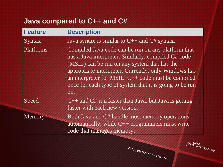# **Java compared to C++ and C#**

| <b>Feature</b> | <b>Description</b>                                                                                                                                                                                                                                                                                                                          |
|----------------|---------------------------------------------------------------------------------------------------------------------------------------------------------------------------------------------------------------------------------------------------------------------------------------------------------------------------------------------|
| <b>Syntax</b>  | Java syntax is similar to $C++$ and $C#$ syntax.                                                                                                                                                                                                                                                                                            |
| Platforms      | Compiled Java code can be run on any platform that<br>has a Java interpreter. Similarly, compiled C# code<br>(MSIL) can be run on any system that has the<br>appropriate interpreter. Currently, only Windows has<br>an interpreter for MSIL. $C++$ code must be compiled<br>once for each type of system that it is going to be run<br>on. |
| Speed          | $C_{++}$ and $C_{+}$ run faster than Java, but Java is getting<br>faster with each new version.                                                                                                                                                                                                                                             |
| Memory         | Both Java and C# handle most memory operations<br>automatically, while $C++$ programmers must write<br>code that manages memory.                                                                                                                                                                                                            |

| 2011, Mike Murach & Associates, Inc. |
|--------------------------------------|
|                                      |
|                                      |

Murach<sup>Slide</sup> 6<br>C1<br>Alva Programming,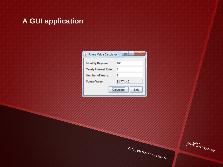### **A GUI application**

| <b>Future Value Calculator</b> | х<br>l.                  |
|--------------------------------|--------------------------|
| <b>Monthly Payment:</b>        | 100                      |
| <b>Yearly Interest Rate:</b>   | 3                        |
| Number of Years:               | 3                        |
| <b>Future Value:</b>           | \$3,771.46               |
|                                | Calculate<br><b>Fxit</b> |

© 2011, Mike Murach & Associates, Inc.

Murach<sup>9</sup>lide 7<br>C1<br>Illian Programming,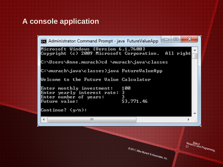## **A console application**

52 回 Administrator: Command Prompt - java FutureValueApp Microsoft Windows [Version 6.1.7600] All right Copyright (c) 2009 Microsoft Corporation. |C:\Users\Anne.murach>cd \murach\java\classes |C:\murach\java\classes>java FutureValueApp Welcome to the Future Value Calculator Enter monthly investment: 100 Enter yearly interest rate: Э 3 Enter number of years: \$3,771.46 Future value: |Continue? (y⁄n): ш 4 © 2011, Mike Murach & Associates, Inc.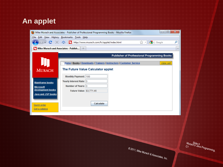#### **An applet**

|                                                  | $\overline{\mathbf{x}}$<br>$\Box$<br>$\Box$<br>Mike Murach and Associates - Publisher of Professional Programming Books - Mozilla Firefox |                          |
|--------------------------------------------------|-------------------------------------------------------------------------------------------------------------------------------------------|--------------------------|
|                                                  | File Edit View History Bookmarks Tools Help                                                                                               |                          |
| C                                                | $\frac{1}{2}$ T Google<br><b>X Q</b> (II http://www.murach.com/fv/applet/index.html<br>م<br>☆<br>$\overline{\phantom{a}}$                 |                          |
| <b>In Mike Murach and Associates - Publish</b> + |                                                                                                                                           | $\overline{\phantom{a}}$ |
|                                                  | Publisher of Professional Programming Books                                                                                               |                          |
|                                                  | Home   Books   Downloads   Trainers   Instructors   Customer Service<br>view cart                                                         |                          |
| <b>MURACH</b>                                    | The Future Value Calculator applet                                                                                                        |                          |
|                                                  | Monthly Payment: 100                                                                                                                      |                          |
| <b>Mainframe books</b>                           | Yearly Interest Rate: 3                                                                                                                   |                          |
| <b>Microsoft</b>                                 | Number of Years: 3                                                                                                                        |                          |
| development books<br><b>Java and JSP books</b>   | Future Value: \$3,771.46                                                                                                                  |                          |
|                                                  |                                                                                                                                           |                          |
|                                                  | <b>Calculate</b>                                                                                                                          |                          |
| Quick order<br>Get a catalog                     |                                                                                                                                           |                          |
|                                                  |                                                                                                                                           |                          |
|                                                  |                                                                                                                                           |                          |
|                                                  |                                                                                                                                           |                          |
|                                                  |                                                                                                                                           |                          |
|                                                  |                                                                                                                                           |                          |

© 2011, Mike Murach & Associates, Inc.

Murach<sup>ig</sup>de 9<br>C1<br>Inning,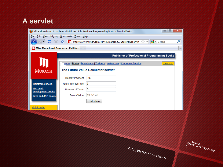#### **A servlet**

| <b>File</b><br>$\mathbf{C}$             | Edit View History Bookmarks Tools Help | $\mathbf{x}$<br>▣<br>$\qquad \qquad \Box$<br>Mike Murach and Associates - Publisher of Professional Programming Books - Mozilla Firefox<br>http://www.murach.com/servlet/murach.fv.FutureValueServlet <a><br/><math>\sim</math> Google<br/>مر</a> |  |  |
|-----------------------------------------|----------------------------------------|---------------------------------------------------------------------------------------------------------------------------------------------------------------------------------------------------------------------------------------------------|--|--|
| In Mike Murach and Associates - Publish |                                        |                                                                                                                                                                                                                                                   |  |  |
|                                         |                                        | Publisher of Professional Programming Books                                                                                                                                                                                                       |  |  |
|                                         |                                        | Home   Books   Downloads   Trainers   Instructors   Customer Service<br>view cart                                                                                                                                                                 |  |  |
| <b>MURACH</b>                           | The Future Value Calculator servlet    |                                                                                                                                                                                                                                                   |  |  |
|                                         | Monthly Payment:                       | 100                                                                                                                                                                                                                                               |  |  |
| <b>Mainframe books</b>                  | Yearly Interest Rate:                  | -3                                                                                                                                                                                                                                                |  |  |
| <b>Microsoft</b><br>development books   | Number of Years:                       | 3                                                                                                                                                                                                                                                 |  |  |
| Java and JSP books                      | Future Value:                          | \$3,771.46                                                                                                                                                                                                                                        |  |  |
|                                         |                                        | Calculate                                                                                                                                                                                                                                         |  |  |
| Quick order                             |                                        |                                                                                                                                                                                                                                                   |  |  |
|                                         |                                        |                                                                                                                                                                                                                                                   |  |  |
|                                         |                                        |                                                                                                                                                                                                                                                   |  |  |
|                                         |                                        |                                                                                                                                                                                                                                                   |  |  |

© 2011, Mike Murach & Associates, Inc.

Murach's Java Programming,<br>C1<br>International Programming,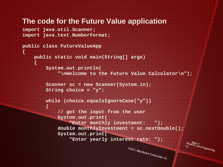#### **The code for the Future Value application**

```
import java.util.Scanner;
import java.text.NumberFormat;
```

```
public class FutureValueApp
{
     public static void main(String[] args)
 {
         System.out.println(
              "\nWelcome to the Future Value Calculator\n");
         Scanner sc = new Scanner(System.in);
         String choice = "y";
         while (choice.equalsIgnoreCase("y"))
 {
             // get the input from the user
             System.out.print(
                 "Enter monthly investment: ");
             double monthlyInvestment = sc.nextDouble();
             System.out.print(
                  "Enter yearly interest rate: ");© 2011, Mike Murach & Associates, Inc.
```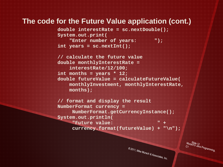#### **The code for the Future Value application (cont.)**

 **double interestRate = sc.nextDouble(); System.out.print(**

 **"Enter number of years: "); int years = sc.nextInt();**

 **// calculate the future value double monthlyInterestRate = interestRate/12/100; int months = years \* 12; double futureValue = calculateFutureValue( monthlyInvestment, monthlyInterestRate, months);**

 **// format and display the result NumberFormat currency = NumberFormat.getCurrencyInstance(); System.out.println( "Future value: " + currency.format(futureValue) + "\n");**

© 2011, Mike Murach & Associates, Inc.

MuraSlide 12<br>C1<br>C1 S Java Programming,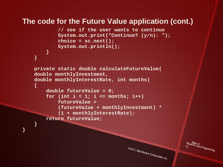#### **The code for the Future Value application (cont.)**

```
 // see if the user wants to continue
 System.out.print("Continue? (y/n): ");
 choice = sc.next();
 System.out.println();
```

```
 }
 }
```
 **{**

 **}**

**}**

```
 private static double calculateFutureValue(
 double monthlyInvestment,
 double monthlyInterestRate, int months)
```

```
 double futureValue = 0;
for (int i = 1; i \le m months; i++) futureValue =
```

```
 (futureValue + monthlyInvestment) *
```

```
 (1 + monthlyInterestRate);
```

```
 return futureValue;
```
© 2011, Mike Murach & Associates, Inc.